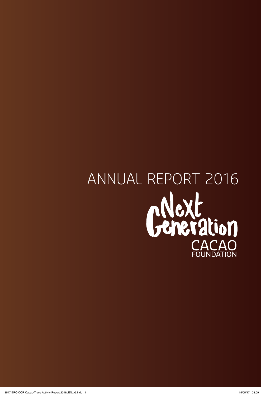# ANNUAL REPORT 2016 Ceneration **CACAO**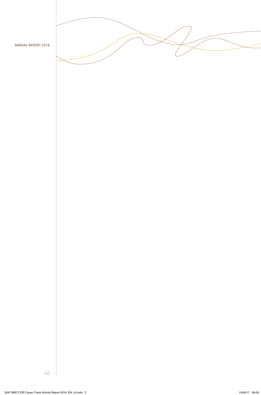

Ĵ,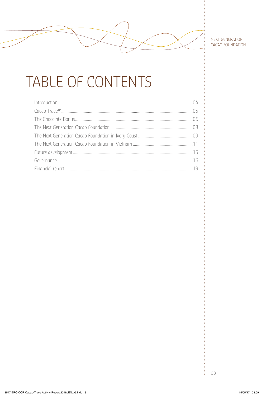

# TABLE OF CONTENTS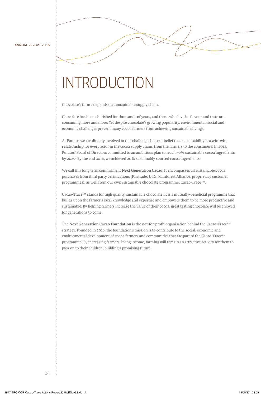### INTRODUCTION

Chocolate's future depends on a sustainable supply chain.

Chocolate has been cherished for thousands of years, and those who love its flavour and taste are consuming more and more. Yet despite chocolate's growing popularity, environmental, social and economic challenges prevent many cocoa farmers from achieving sustainable livings.

At Puratos we are directly involved in this challenge. It is our belief that sustainability is a **win-win relationship** for every actor in the cocoa supply chain, from the farmers to the consumers. In 2013, Puratos' Board of Directors committed to an ambitious plan to reach 50% sustainable cocoa ingredients by 2020. By the end 2016, we achieved 20% sustainably sourced cocoa ingredients.

We call this long term commitment **Next Generation Cacao**. It encompasses all sustainable cocoa purchases from third party certifications (Fairtrade, UTZ, Rainforest Alliance, proprietary customer programmes), as well from our own sustainable chocolate programme, Cacao-Trace™.

Cacao-Trace™ stands for high quality, sustainable chocolate. It is a mutually-beneficial programme that builds upon the farmer's local knowledge and expertise and empowers them to be more productive and sustainable. By helping farmers increase the value of their cocoa, great tasting chocolate will be enjoyed for generations to come.

The **Next Generation Cacao Foundation** is the not-for-profit organisation behind the Cacao-Trace™ strategy. Founded in 2016, the foundation's mission is to contribute to the social, economic and environmental development of cocoa farmers and communities that are part of the Cacao-Trace™ programme. By increasing farmers' living income, farming will remain an attractive activity for them to pass on to their children, building a promising future.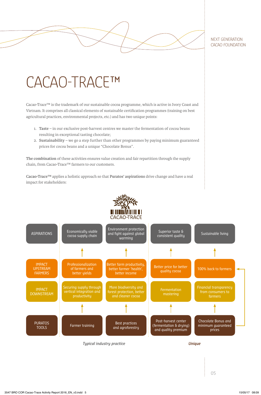#### NEXT GENERATION CACAO FOUNDATION

### CACAO-TRACE™

Cacao-Trace™ is the trademark of our sustainable cocoa programme, which is active in Ivory Coast and Vietnam. It comprises all classical elements of sustainable certification programmes (training on best agricultural practices, environmental projects, etc.) and has two unique points:

- 1. **Taste** in our exclusive post-harvest centres we master the fermentation of cocoa beans resulting in exceptional tasting chocolate;
- 2. **Sustainability** we go a step further than other programmes by paying minimum guaranteed prices for cocoa beans and a unique "Chocolate Bonus".

**The combination** of these activities ensures value creation and fair repartition through the supply chain, from Cacao-Trace™ farmers to our customers.

**Cacao-Trace™** applies a holistic approach so that **Puratos' aspirations** drive change and have a real impact for stakeholders:





*Typical industry practice Unique*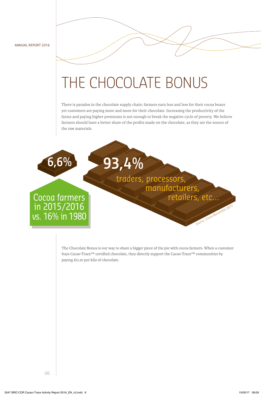### THE CHOCOLATE BONUS

**6,6% 93,4%**

Cocoa farmers

in 2015/2016 vs. 16% in 1980

There is paradox in the chocolate supply chain: farmers earn less and less for their cocoa beans yet customers are paying more and more for their chocolate. Increasing the productivity of the farms and paying higher premiums is not enough to break the negative cycle of poverty. We believe farmers should have a better share of the profits made on the chocolate, as they are the source of the raw materials.

traders, processors,

manufacturers,

retailers, etc...

Source: Cocoa Barometer 2011

The Chocolate Bonus is our way to share a bigger piece of the pie with cocoa farmers. When a customer buys Cacao-Trace™ certified chocolate, they directly support the Cacao-Trace™ communities by paying €0,10 per kilo of chocolate.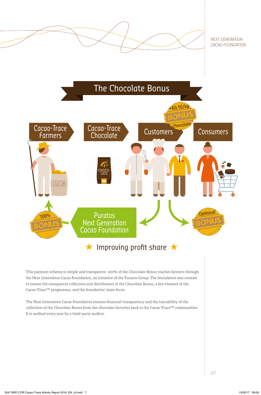

NEXT GENERATION CACAO FOUNDATION



This payment scheme is simple and transparent: 100% of the Chocolate Bonus reaches farmers through the Next Generation Cacao Foundation, an initiative of the Puratos Group. The foundation was created to ensure the transparent collection and distribution of the Chocolate Bonus, a key element of the Cacao-Trace™ programme, and the foundation' main focus.

The Next Generation Cacao Foundation ensures financial transparency and the traceability of the collection of the Chocolate Bonus from the chocolate factories back to the Cacao-Trace™ communities. It is audited every year by a third-party auditor.

ŧ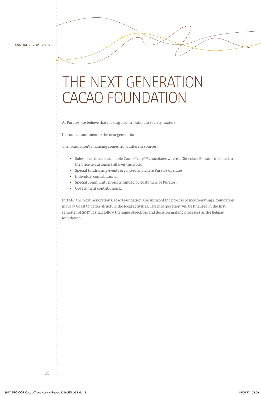### THE NEXT GENERATION CACAO FOUNDATION

At Puratos, we believe that making a contribution to society matters.

It is our commitment to the next generation.

The foundation's financing comes from different sources:

- Sales of certified sustainable Cacao-Trace™ chocolates where a Chocolate Bonus is included in the price to customers all over the world;
- Special fundraising events organised anywhere Puratos operates;
- Individual contributions;
- Special community projects funded by customers of Puratos;
- Government contributions..

In 2016, the Next Generation Cacao Foundation also initiated the process of incorporating a foundation in Ivory Coast to better structure the local activities. The incorporation will be finalised in the first semester of 2017. It shall follow the same objectives and decision making processes as the Belgian foundation.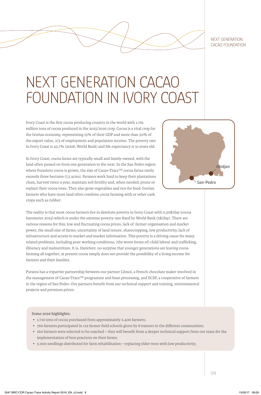### NEXT GENERATION CACAO FOUNDATION IN IVORY COAST

Ivory Coast is the first cocoa producing country in the world with 1.791 million tons of cocoa produced in the 2015/2016 crop. Cocoa is a vital crop for the Ivorian economy, representing 15% of their GDP and more than 50% of the export value, 2/3 of employment and population income. The poverty rate in Ivory Coast is 42,7% (2008, World Bank) and life expectancy is 51 years old.

In Ivory Coast, cocoa farms are typically small and family-owned, with the land often passed on from one generation to the next. In the San Pedro region where Forastero cocoa is grown, the size of Cacao-Trace™ cocoa farms rarely exceeds three hectares (7,5 acres). Farmers work hard to keep their plantations clean, harvest twice a year, maintain soil fertility and, when needed, prune or replant their cocoa trees. They also grow vegetables and rice for food. Ivorian farmers who have more land often combine cocoa farming with or other cash crops such as rubber.



The reality is that most cocoa farmers live in destitute poverty in Ivory Coast with 0,50\$/day (cocoa barometer 2015) which is under the extreme poverty rate fixed by World Bank (2\$/day). There are various reasons for this; low and fluctuating cocoa prices, lack of farmer organisation and market power, the small size of farms, uncertainty of land tenure, sharecropping, low productivity, lack of infrastructure and access to market and market information. This poverty is a driving cause for many related problems, including poor working conditions, (the worst forms of) child labour and trafficking, illiteracy and malnutrition. It is, therefore, no surprise that younger generations are leaving cocoa farming all together; at present cocoa simply does not provide the possibility of a living income for farmers and their families.

Puratos has a tripartite partnership between our partner Cémoi, a French chocolate maker involved in the management of Cacao-Trace™ programme and bean processing, and ECSP, a cooperative of farmers in the region of San Pedro. Our partners benefit from our technical support and training, environmental projects and premium prices.

#### **Some 2016 highlights:**

- 1.710 tons of cocoa purchased from approximately 2.400 farmers;
- 766 farmers participated in 112 farmer field schools given by 8 trainers in the different communities;
- 160 farmers were selected to be coached they will benefit from a deeper technical support from our team for the implementation of best practices on their farms;
- 5.000 seedlings distributed for farm rehabilitation replacing older trees with low productivity.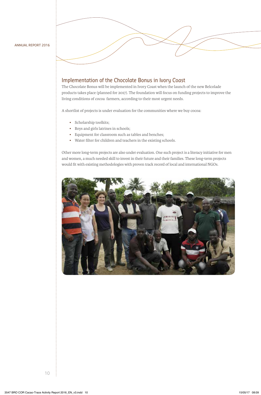#### Implementation of the Chocolate Bonus in Ivory Coast

The Chocolate Bonus will be implemented in Ivory Coast when the launch of the new Belcolade products takes place (planned for 2017). The foundation will focus on funding projects to improve the living conditions of cocoa farmers, according to their most urgent needs.

A shortlist of projects is under evaluation for the communities where we buy cocoa:

- Scholarship toolkits;
- Boys and girls latrines in schools;
- Equipment for classroom such as tables and benches;
- Water filter for children and teachers in the existing schools.

Other more long-term projects are also under evaluation. One such project is a literacy initiative for men and women, a much needed skill to invest in their future and their families. These long-term projects would fit with existing methodologies with proven track record of local and international NGOs.

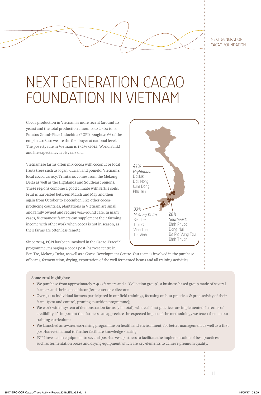### NEXT GENERATION CACAO FOUNDATION IN VIETNAM

Cocoa production in Vietnam is more recent (around 10 years) and the total production amounts to 2.500 tons. Puratos Grand-Place Indochina (PGPI) bought 40% of the crop in 2016, so we are the first buyer at national level. The poverty rate in Vietnam is 17,2% (2012, World Bank) and life expectancy is 76 years old.

Vietnamese farms often mix cocoa with coconut or local fruits trees such as logan, durian and pomelo. Vietnam's local cocoa variety, Trinitario, comes from the Mekong Delta as well as the Highlands and Southeast regions. These regions combine a good climate with fertile soils. Fruit is harvested between March and May and then again from October to December. Like other cocoaproducing countries, plantations in Vietnam are small and family owned and require year-round care. In many cases, Vietnamese farmers can supplement their farming income with other work when cocoa is not in season, as their farms are often less remote.

Since 2014, PGPI has been involved in the Cacao-Trace™ programme, managing a cocoa post- harvest centre in



Ben Tre, Mekong Delta, as well as a Cocoa Development Centre. Our team is involved in the purchase of beans, fermentation, drying, exportation of the well fermented beans and all training activities.

#### **Some 2016 highlights:**

- We purchase from approximately 2.400 farmers and a "Collection group", a business based group made of several farmers and their consolidator (fermenter or collector);
- Over 3.000 individual farmers participated in our field trainings, focusing on best practices & productivity of their farms (pest and control, pruning, nutrition programme);
- We work with a system of demonstration farms (7 in total), where all best practices are implemented. In terms of credibility it's important that farmers can appreciate the expected impact of the methodology we teach them in our training curriculum;
- We launched an awareness-raising programme on health and environment, for better management as well as a first post-harvest manual to further facilitate knowledge sharing;
- PGPI invested in equipment to several post-harvest partners to facilitate the implementation of best practices, such as fermentation boxes and drying equipment which are key elements to achieve premium quality.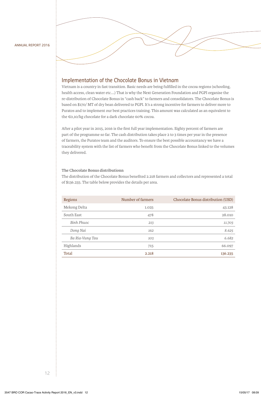#### Implementation of the Chocolate Bonus in Vietnam

Vietnam is a country in fast transition. Basic needs are being fulfilled in the cocoa regions (schooling, health access, clean water etc.…) That is why the Next Generation Foundation and PGPI organise the re-distribution of Chocolate Bonus in "cash back" to farmers and consolidators. The Chocolate Bonus is based on \$170/ MT of dry bean delivered to PGPI. It's a strong incentive for farmers to deliver more to Puratos and to implement our best practices training. This amount was calculated as an equivalent to the €0,10/kg chocolate for a dark chocolate 60% cocoa.

After a pilot year in 2015, 2016 is the first full year implementation. Eighty percent of farmers are part of the programme so far. The cash distribution takes place 2 to 3 times per year in the presence of farmers, the Puratos team and the auditors. To ensure the best possible accountancy we have a traceability system with the list of farmers who benefit from the Chocolate Bonus linked to the volumes they delivered.

#### **The Chocolate Bonus distributionn**

The distribution of the Chocolate Bonus benefited 2.218 farmers and collectors and represented a total of \$136.235. The table below provides the details per area.

| Regions         | Number of farmers | Chocolate Bonus distribution (USD) |
|-----------------|-------------------|------------------------------------|
| Mekong Delta    | 1.025             | 43.128                             |
| South East      | 478               | 28.010                             |
| Binh Phuoc      | 213               | 11.703                             |
| Dong Nai        | 162               | 8.625                              |
| Ba Ria-Vung Tau | 103               | 6.682                              |
| Highlands       | 715               | 66.097                             |
| Total           | 2.218             | 136.235                            |

12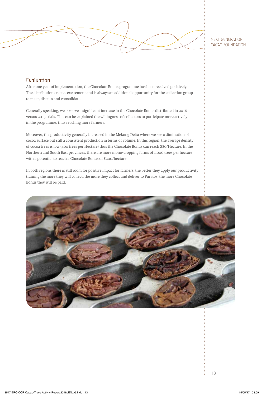



### Evaluation

After one year of implementation, the Chocolate Bonus programme has been received positively. The distribution creates excitement and is always an additional opportunity for the collection group to meet, discuss and consolidate.

Generally speaking, we observe a significant increase in the Chocolate Bonus distributed in 2016 versus 2015 trials. This can be explained the willingness of collectors to participate more actively in the programme, thus reaching more farmers.

Moreover, the productivity generally increased in the Mekong Delta where we see a diminution of cocoa surface but still a consistent production in terms of volume. In this region, the average density of cocoa trees is low (400 trees per Hectare) thus the Chocolate Bonus can reach \$80/Hectare. In the Northern and South East provinces, there are more mono-cropping farms of 1.000 trees per hectare with a potential to reach a Chocolate Bonus of \$200/hectare.

In both regions there is still room for positive impact for farmers: the better they apply our productivity training the more they will collect, the more they collect and deliver to Puratos, the more Chocolate Bonus they will be paid.

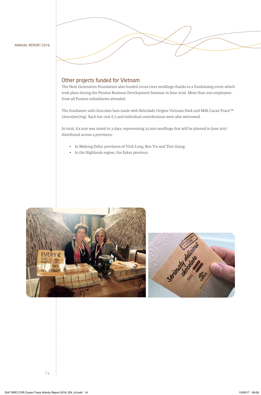#### Other projects funded for Vietnam

The Next Generation Foundation also funded cocoa trees seedlings thanks to a fundraising event which took place during the Puratos Business Development Seminar in June 2016. More than 200 employees from all Puratos subsidiaries attended.

The fundraiser sold chocolate bars made with Belcolade Origins Vietnam Dark and Milk Cacao-Trace™ chocolate(70g). Each bar cost  $\epsilon$  5 and individual contributions were also welcomed.

In total, €4.600 was raised in 3 days, representing 15.600 seedlings that will be planted in June 2017 distributed across 4 provinces:

- In Mekong Delta: provinces of Vinh Long, Ben Tre and Tien Giang;
- In the Highlands region, the Eakar province.



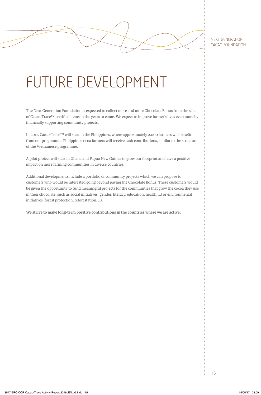

## FUTURE DEVELOPMENT

The Next Generation Foundation is expected to collect more and more Chocolate Bonus from the sale of Cacao-Trace™ certified items in the years to come. We expect to improve farmer's lives even more by financially supporting community projects.

In 2017, Cacao-Trace™ will start in the Philippines, where approximately 2.000 farmers will benefit from our programme. Philippino cocoa farmers will receive cash contributions, similar to the structure of the Vietnamese programme.

A pilot project will start in Ghana and Papua New Guinea to grow our footprint and have a positive impact on more farming communities in diverse countries.

Additional developments include a portfolio of community projects which we can propose to customers who would be interested going beyond paying the Chocolate Bonus. These customers would be given the opportunity to fund meaningful projects for the communities that grow the cocoa they use in their chocolate, such as social initiatives (gender, literacy, education, health, …) or environmental initiatives (forest protection, reforestation, …).

**We strive to make long-term positive contributions in the countries where we are active.**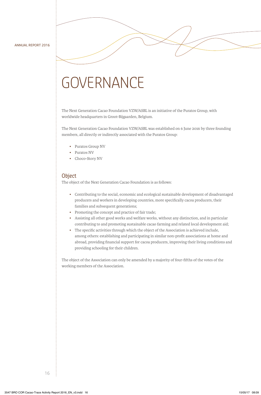### GOVERNANCE

The Next Generation Cacao Foundation VZW/ASBL is an initiative of the Puratos Group, with worldwide headquarters in Groot-Bijgaarden, Belgium.

The Next Generation Cacao Foundation VZW/ASBL was established on 6 June 2016 by three founding members, all directly or indirectly associated with the Puratos Group:

- Puratos Group NV
- Puratos NV
- Choco-Story NV

#### Object

The object of the Next Generation Cacao Foundation is as follows:

- Contributing to the social, economic and ecological sustainable development of disadvantaged producers and workers in developing countries, more specifically cacoa producers, their families and subsequent generations;
- Promoting the concept and practice of fair trade;
- Assisting all other good works and welfare works, without any distinction, and in particular contributing to and promoting sustainable cacao farming and related local development aid;
- The specific activities through which the object of the Association is achieved include, among others: establishing and participating in similar non-profit associations at home and abroad, providing financial support for cacoa producers, improving their living conditions and providing schooling for their children.

The object of the Association can only be amended by a majority of four-fifths of the votes of the working members of the Association.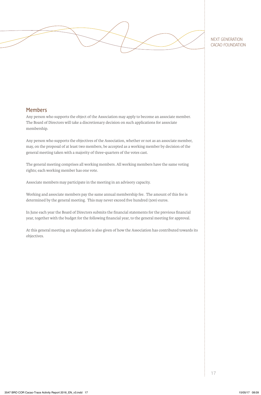

#### Members

Any person who supports the object of the Association may apply to become an associate member. The Board of Directors will take a discretionary decision on such applications for associate membership.

Any person who supports the objectives of the Association, whether or not as an associate member, may, on the proposal of at least two members, be accepted as a working member by decision of the general meeting taken with a majority of three-quarters of the votes cast.

The general meeting comprises all working members. All working members have the same voting rights; each working member has one vote.

Associate members may participate in the meeting in an advisory capacity.

Working and associate members pay the same annual membership fee. The amount of this fee is determined by the general meeting. This may never exceed five hundred (500) euros.

In June each year the Board of Directors submits the financial statements for the previous financial year, together with the budget for the following financial year, to the general meeting for approval.

At this general meeting an explanation is also given of how the Association has contributed towards its objectives.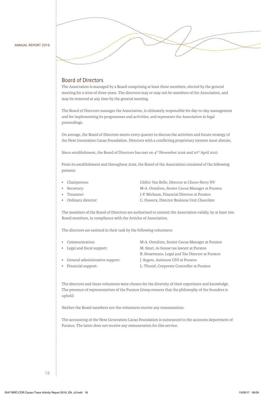#### Board of Directors

The Association is managed by a Board comprising at least three members, elected by the general meeting for a term of three years. The directors may or may not be members of the Association, and may be removed at any time by the general meeting.

The Board of Directors manages the Association, is ultimately responsible for day-to-day management and for implementing its programmes and activities, and represents the Association in legal proceedings.

On average, the Board of Directors meets every quarter to discuss the activities and future strategy of the Next Generation Cacao Foundation. Directors with a conflicting proprietary interest must abstain.

Since establishment, the Board of Directors has met on 4<sup>th</sup> November 2016 and 10<sup>th</sup> April 2017.

From its establishment and throughout 2016, the Board of the Association consisted of the following persons:

- Chairperson: Cédric Van Belle, Director at Choco-Story NV
- 
- 
- 
- Secretary: M-A. Ormières, Senior Cocoa Manager at Puratos • Treasurer: J-P. Michaux, Financial Director at Puratos
- Ordinary director: C. Ouwerx, Director Business Unit Chocolate

The members of the Board of Directors are authorised to commit the Association validly, by at least two Board members, in compliance with the Articles of Association.

The directors are assisted in their task by the following volunteers:

| • Communication:                  | M-A. Ormières, Senior Cocoa Manager at Puratos   |  |
|-----------------------------------|--------------------------------------------------|--|
| • Legal and fiscal support:       | M. Smet, in-house tax lawyer at Puratos          |  |
|                                   | R. Straetmans, Legal and Tax Director at Puratos |  |
| • General administrative support: | J. Segers, Assistant CFO at Puratos              |  |
| • Financial support:              | L. Thomé, Corporate Controller at Puratos        |  |

The directors and these volunteers were chosen for the diversity of their experience and knowledge. The presence of representatives of the Puratos Group ensures that the philosophy of the founders is upheld.

Neither the Board members nor the volunteers receive any remuneration.

The accounting of the Next Generation Cacao Foundation is outsourced to the accounts department of Puratos. The latter does not receive any remuneration for this service.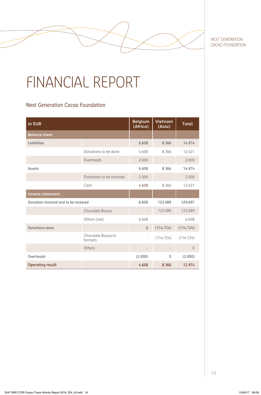

### FINANCIAL REPORT

### Next Generation Cacao Foundation

| in EUR                               |                               | <b>Belgium</b><br>(Africa) | Vietnam<br>(Asia) | <b>Total</b> |
|--------------------------------------|-------------------------------|----------------------------|-------------------|--------------|
| <b>Balance sheet</b>                 |                               |                            |                   |              |
| Liabilities                          |                               | 6.608                      | 8.366             | 14.974       |
|                                      | Donations to be done          | 4.608                      | 8.366             | 12.021       |
|                                      | Overheads                     | 2.000                      |                   | 2.000        |
| Assets                               |                               | 6.608                      | 8.366             | 14.974       |
|                                      | Donations to be received      | 2.000                      |                   | 2.000        |
|                                      | Cash                          | 4.608                      | 8.366             | 12.021       |
| Income statement                     |                               |                            |                   |              |
| Donation received and to be received |                               | 6.608                      | 123.089           | 129.697      |
|                                      | Chocolate Bonus               |                            | 123.089           | 123.089      |
|                                      | Others (net)                  | 6.608                      |                   | 6.608        |
| Donations done                       |                               | $\mathbf{0}$               | (114.724)         | (114.724)    |
|                                      | Chocolate Bonus to<br>farmers | $\overline{\phantom{a}}$   | (114.724)         | (114.724)    |
|                                      | Others                        |                            |                   | 0            |
| Overheads                            |                               | (2.000)                    | $\mathbf{0}$      | (2.000)      |
| <b>Operating result</b>              |                               | 4.608                      | 8.366             | 12.974       |

İ